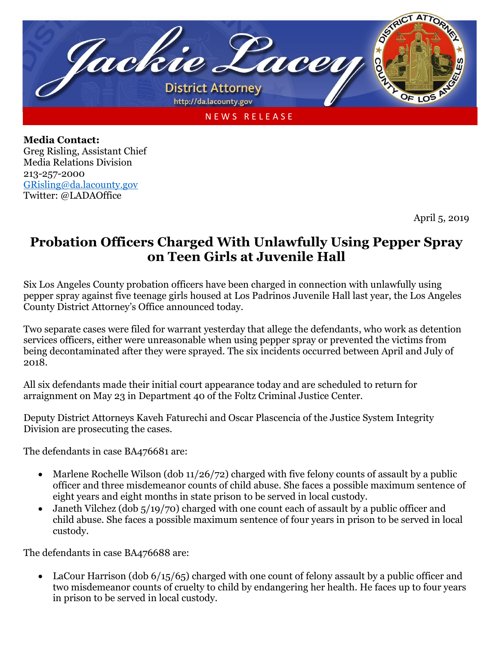

**Media Contact:** Greg Risling, Assistant Chief Media Relations Division 213-257-2000 [GRisling@da.lacounty.gov](mailto:GRisling@da.lacounty.gov) Twitter: @LADAOffice

April 5, 2019

## **Probation Officers Charged With Unlawfully Using Pepper Spray on Teen Girls at Juvenile Hall**

Six Los Angeles County probation officers have been charged in connection with unlawfully using pepper spray against five teenage girls housed at Los Padrinos Juvenile Hall last year, the Los Angeles County District Attorney's Office announced today.

Two separate cases were filed for warrant yesterday that allege the defendants, who work as detention services officers, either were unreasonable when using pepper spray or prevented the victims from being decontaminated after they were sprayed. The six incidents occurred between April and July of 2018.

All six defendants made their initial court appearance today and are scheduled to return for arraignment on May 23 in Department 40 of the Foltz Criminal Justice Center.

Deputy District Attorneys Kaveh Faturechi and Oscar Plascencia of the Justice System Integrity Division are prosecuting the cases.

The defendants in case BA476681 are:

- Marlene Rochelle Wilson (dob  $11/26/72$ ) charged with five felony counts of assault by a public officer and three misdemeanor counts of child abuse. She faces a possible maximum sentence of eight years and eight months in state prison to be served in local custody.
- Janeth Vilchez (dob 5/19/70) charged with one count each of assault by a public officer and child abuse. She faces a possible maximum sentence of four years in prison to be served in local custody.

The defendants in case BA476688 are:

• LaCour Harrison (dob  $6/15/65$ ) charged with one count of felony assault by a public officer and two misdemeanor counts of cruelty to child by endangering her health. He faces up to four years in prison to be served in local custody.